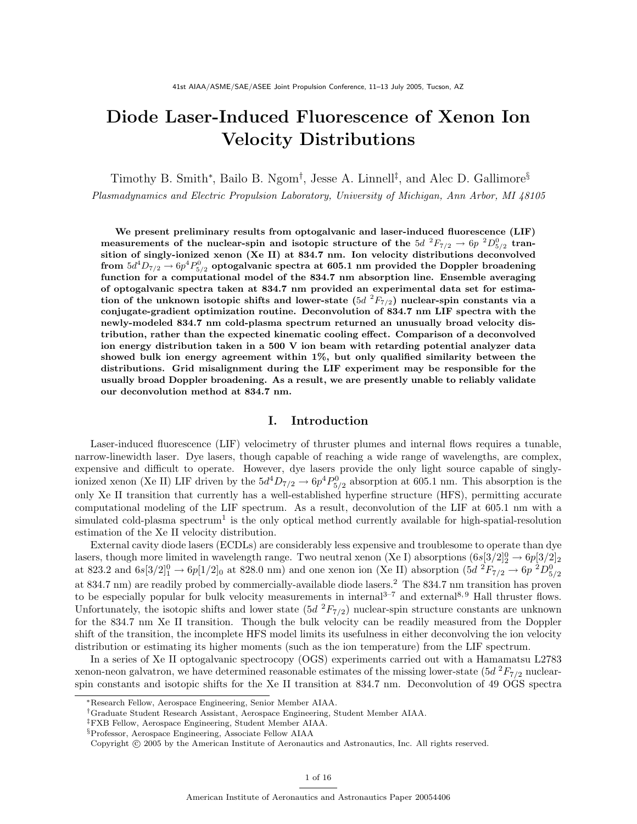# Diode Laser-Induced Fluorescence of Xenon Ion Velocity Distributions

Timothy B. Smith\*, Bailo B. Ngom<sup>†</sup>, Jesse A. Linnell<sup>‡</sup>, and Alec D. Gallimore<sup>§</sup> Plasmadynamics and Electric Propulsion Laboratory, University of Michigan, Ann Arbor, MI 48105

We present preliminary results from optogalvanic and laser-induced fluorescence (LIF) measurements of the nuclear-spin and isotopic structure of the 5d  ${}^2F_{7/2} \rightarrow 6p~{}^2D^0_{5/2}$  transition of singly-ionized xenon (Xe II) at 834.7 nm. Ion velocity distributions deconvolved from  $5d^4D_{7/2}\rightarrow 6p^4P_{5/2}^0$  optogalvanic spectra at  $605.1$  nm provided the Doppler broadening function for a computational model of the 834.7 nm absorption line. Ensemble averaging of optogalvanic spectra taken at 834.7 nm provided an experimental data set for estimation of the unknown isotopic shifts and lower-state  $(5d \ ^2F_{7/2})$  nuclear-spin constants via a conjugate-gradient optimization routine. Deconvolution of 834.7 nm LIF spectra with the newly-modeled 834.7 nm cold-plasma spectrum returned an unusually broad velocity distribution, rather than the expected kinematic cooling effect. Comparison of a deconvolved ion energy distribution taken in a 500 V ion beam with retarding potential analyzer data showed bulk ion energy agreement within 1%, but only qualified similarity between the distributions. Grid misalignment during the LIF experiment may be responsible for the usually broad Doppler broadening. As a result, we are presently unable to reliably validate our deconvolution method at 834.7 nm.

# I. Introduction

Laser-induced fluorescence (LIF) velocimetry of thruster plumes and internal flows requires a tunable, narrow-linewidth laser. Dye lasers, though capable of reaching a wide range of wavelengths, are complex, expensive and difficult to operate. However, dye lasers provide the only light source capable of singlyionized xenon (Xe II) LIF driven by the  $5d^4D_{7/2} \rightarrow 6p^4P_{5/2}^0$  absorption at 605.1 nm. This absorption is the only Xe II transition that currently has a well-established hyperfine structure (HFS), permitting accurate computational modeling of the LIF spectrum. As a result, deconvolution of the LIF at 605.1 nm with a simulated cold-plasma spectrum<sup>1</sup> is the only optical method currently available for high-spatial-resolution estimation of the Xe II velocity distribution.

External cavity diode lasers (ECDLs) are considerably less expensive and troublesome to operate than dye lasers, though more limited in wavelength range. Two neutral xenon (Xe I) absorptions  $(6s[3/2]_2^0 \rightarrow 6p[3/2]_2$ at 823.2 and  $6s[3/2]_1^0 \to 6p[1/2]_0$  at 828.0 nm) and one xenon ion (Xe II) absorption  $(5d^2F_{7/2} \to 6p^2D_{5/2}^0)$ at 834.7 nm) are readily probed by commercially-available diode lasers.<sup>2</sup> The 834.7 nm transition has proven to be especially popular for bulk velocity measurements in internal<sup>3–7</sup> and external<sup>8, 9</sup> Hall thruster flows. Unfortunately, the isotopic shifts and lower state  $(5d^{2}F_{7/2})$  nuclear-spin structure constants are unknown for the 834.7 nm Xe II transition. Though the bulk velocity can be readily measured from the Doppler shift of the transition, the incomplete HFS model limits its usefulness in either deconvolving the ion velocity distribution or estimating its higher moments (such as the ion temperature) from the LIF spectrum.

In a series of Xe II optogalvanic spectrocopy (OGS) experiments carried out with a Hamamatsu L2783 xenon-neon galvatron, we have determined reasonable estimates of the missing lower-state  $(5d<sup>2</sup>F<sub>7/2</sub>$  nuclearspin constants and isotopic shifts for the Xe II transition at 834.7 nm. Deconvolution of 49 OGS spectra

<sup>∗</sup>Research Fellow, Aerospace Engineering, Senior Member AIAA.

<sup>†</sup>Graduate Student Research Assistant, Aerospace Engineering, Student Member AIAA.

<sup>‡</sup>FXB Fellow, Aerospace Engineering, Student Member AIAA.

<sup>§</sup>Professor, Aerospace Engineering, Associate Fellow AIAA

Copyright © 2005 by the American Institute of Aeronautics and Astronautics, Inc. All rights reserved.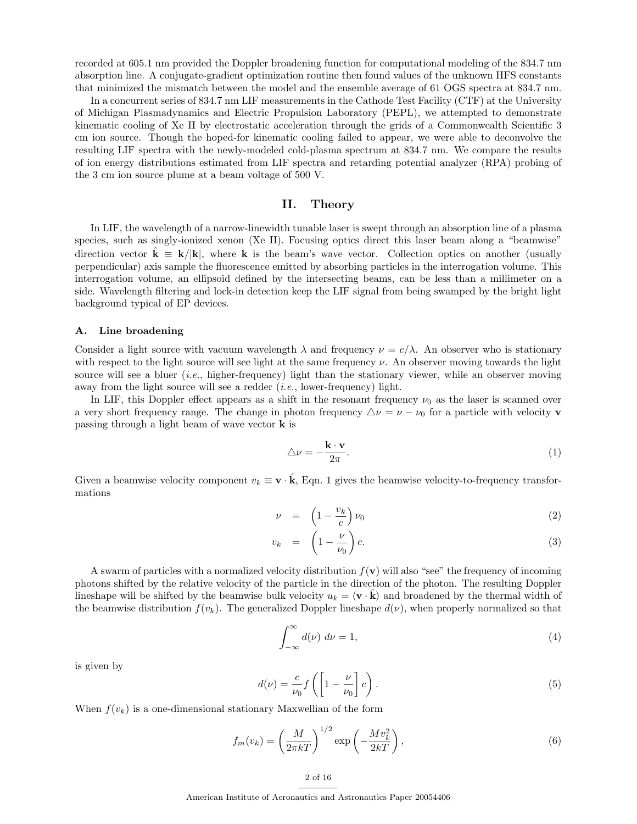recorded at 605.1 nm provided the Doppler broadening function for computational modeling of the 834.7 nm absorption line. A conjugate-gradient optimization routine then found values of the unknown HFS constants that minimized the mismatch between the model and the ensemble average of 61 OGS spectra at 834.7 nm.

In a concurrent series of 834.7 nm LIF measurements in the Cathode Test Facility (CTF) at the University of Michigan Plasmadynamics and Electric Propulsion Laboratory (PEPL), we attempted to demonstrate kinematic cooling of Xe II by electrostatic acceleration through the grids of a Commonwealth Scientific 3 cm ion source. Though the hoped-for kinematic cooling failed to appear, we were able to deconvolve the resulting LIF spectra with the newly-modeled cold-plasma spectrum at 834.7 nm. We compare the results of ion energy distributions estimated from LIF spectra and retarding potential analyzer (RPA) probing of the 3 cm ion source plume at a beam voltage of 500 V.

# II. Theory

In LIF, the wavelength of a narrow-linewidth tunable laser is swept through an absorption line of a plasma species, such as singly-ionized xenon (Xe II). Focusing optics direct this laser beam along a "beamwise" direction vector  $\mathbf{k} \equiv \mathbf{k}/|\mathbf{k}|$ , where k is the beam's wave vector. Collection optics on another (usually perpendicular) axis sample the fluorescence emitted by absorbing particles in the interrogation volume. This interrogation volume, an ellipsoid defined by the intersecting beams, can be less than a millimeter on a side. Wavelength filtering and lock-in detection keep the LIF signal from being swamped by the bright light background typical of EP devices.

#### A. Line broadening

Consider a light source with vacuum wavelength  $\lambda$  and frequency  $\nu = c/\lambda$ . An observer who is stationary with respect to the light source will see light at the same frequency  $\nu$ . An observer moving towards the light source will see a bluer *(i.e., higher-frequency)* light than the stationary viewer, while an observer moving away from the light source will see a redder  $(i.e.,$  lower-frequency) light.

In LIF, this Doppler effect appears as a shift in the resonant frequency  $\nu_0$  as the laser is scanned over a very short frequency range. The change in photon frequency  $\Delta \nu = \nu - \nu_0$  for a particle with velocity v passing through a light beam of wave vector k is

$$
\triangle \nu = -\frac{\mathbf{k} \cdot \mathbf{v}}{2\pi}.
$$
 (1)

Given a beamwise velocity component  $v_k \equiv \mathbf{v} \cdot \hat{\mathbf{k}}$ , Eqn. 1 gives the beamwise velocity-to-frequency transformations

$$
\nu = \left(1 - \frac{v_k}{c}\right)\nu_0 \tag{2}
$$

$$
v_k = \left(1 - \frac{\nu}{\nu_0}\right)c.
$$
\n(3)

A swarm of particles with a normalized velocity distribution  $f(\mathbf{v})$  will also "see" the frequency of incoming photons shifted by the relative velocity of the particle in the direction of the photon. The resulting Doppler lineshape will be shifted by the beamwise bulk velocity  $u_k = \langle \mathbf{v} \cdot \mathbf{k} \rangle$  and broadened by the thermal width of the beamwise distribution  $f(v_k)$ . The generalized Doppler lineshape  $d(v)$ , when properly normalized so that

$$
\int_{-\infty}^{\infty} d(\nu) \, d\nu = 1,\tag{4}
$$

is given by

$$
d(\nu) = \frac{c}{\nu_0} f\left(\left[1 - \frac{\nu}{\nu_0}\right] c\right). \tag{5}
$$

When  $f(v_k)$  is a one-dimensional stationary Maxwellian of the form

$$
f_m(v_k) = \left(\frac{M}{2\pi kT}\right)^{1/2} \exp\left(-\frac{Mv_k^2}{2kT}\right),\tag{6}
$$

American Institute of Aeronautics and Astronautics Paper 20054406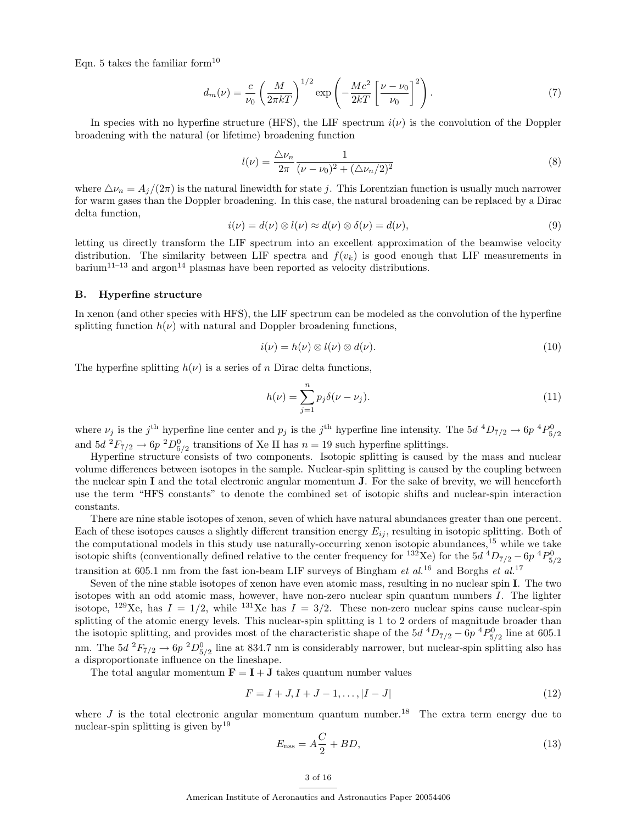Eqn. 5 takes the familiar form<sup>10</sup>

$$
d_m(\nu) = \frac{c}{\nu_0} \left(\frac{M}{2\pi kT}\right)^{1/2} \exp\left(-\frac{Mc^2}{2kT} \left[\frac{\nu - \nu_0}{\nu_0}\right]^2\right). \tag{7}
$$

In species with no hyperfine structure (HFS), the LIF spectrum  $i(\nu)$  is the convolution of the Doppler broadening with the natural (or lifetime) broadening function

$$
l(\nu) = \frac{\Delta \nu_n}{2\pi} \frac{1}{(\nu - \nu_0)^2 + (\Delta \nu_n/2)^2}
$$
(8)

where  $\Delta \nu_n = A_j/(2\pi)$  is the natural linewidth for state j. This Lorentzian function is usually much narrower for warm gases than the Doppler broadening. In this case, the natural broadening can be replaced by a Dirac delta function,

$$
i(\nu) = d(\nu) \otimes l(\nu) \approx d(\nu) \otimes \delta(\nu) = d(\nu), \tag{9}
$$

letting us directly transform the LIF spectrum into an excellent approximation of the beamwise velocity distribution. The similarity between LIF spectra and  $f(v_k)$  is good enough that LIF measurements in barium<sup>11–13</sup> and argon<sup>14</sup> plasmas have been reported as velocity distributions.

# B. Hyperfine structure

In xenon (and other species with HFS), the LIF spectrum can be modeled as the convolution of the hyperfine splitting function  $h(\nu)$  with natural and Doppler broadening functions,

$$
i(\nu) = h(\nu) \otimes l(\nu) \otimes d(\nu). \tag{10}
$$

The hyperfine splitting  $h(\nu)$  is a series of n Dirac delta functions,

$$
h(\nu) = \sum_{j=1}^{n} p_j \delta(\nu - \nu_j).
$$
 (11)

where  $\nu_j$  is the j<sup>th</sup> hyperfine line center and  $p_j$  is the j<sup>th</sup> hyperfine line intensity. The  $5d^4D_{7/2} \rightarrow 6p^4P_{5/2}^0$ and  $5d^2F_{7/2} \rightarrow 6p^2D^0_{5/2}$  transitions of Xe II has  $n = 19$  such hyperfine splittings.

Hyperfine structure consists of two components. Isotopic splitting is caused by the mass and nuclear volume differences between isotopes in the sample. Nuclear-spin splitting is caused by the coupling between the nuclear spin I and the total electronic angular momentum  $J$ . For the sake of brevity, we will henceforth use the term "HFS constants" to denote the combined set of isotopic shifts and nuclear-spin interaction constants.

There are nine stable isotopes of xenon, seven of which have natural abundances greater than one percent. Each of these isotopes causes a slightly different transition energy  $E_{ij}$ , resulting in isotopic splitting. Both of the computational models in this study use naturally-occurring xenon isotopic abundances,<sup>15</sup> while we take isotopic shifts (conventionally defined relative to the center frequency for <sup>132</sup>Xe) for the  $5d$  <sup>4</sup> $D_{7/2}$  –  $6p$  <sup>4</sup> $P_{5/2}$ <sup>0</sup> transition at 605.1 nm from the fast ion-beam LIF surveys of Bingham et al.<sup>16</sup> and Borghs et al.<sup>17</sup>

Seven of the nine stable isotopes of xenon have even atomic mass, resulting in no nuclear spin I. The two isotopes with an odd atomic mass, however, have non-zero nuclear spin quantum numbers I. The lighter isotope, <sup>129</sup>Xe, has  $I = 1/2$ , while <sup>131</sup>Xe has  $I = 3/2$ . These non-zero nuclear spins cause nuclear-spin splitting of the atomic energy levels. This nuclear-spin splitting is 1 to 2 orders of magnitude broader than the isotopic splitting, and provides most of the characteristic shape of the  $5d^{4}D_{7/2} - 6p^{4}P_{5/2}^{0}$  line at 605.1 nm. The  $5d \,^2F_{7/2} \rightarrow 6p \,^2D_{5/2}^0$  line at 834.7 nm is considerably narrower, but nuclear-spin splitting also has a disproportionate influence on the lineshape.

The total angular momentum  $\mathbf{F} = \mathbf{I} + \mathbf{J}$  takes quantum number values

$$
F = I + J, I + J - 1, \dots, |I - J| \tag{12}
$$

where  $J$  is the total electronic angular momentum quantum number.<sup>18</sup> The extra term energy due to nuclear-spin splitting is given by<sup>19</sup>

$$
E_{\rm nss} = A\frac{C}{2} + BD,\tag{13}
$$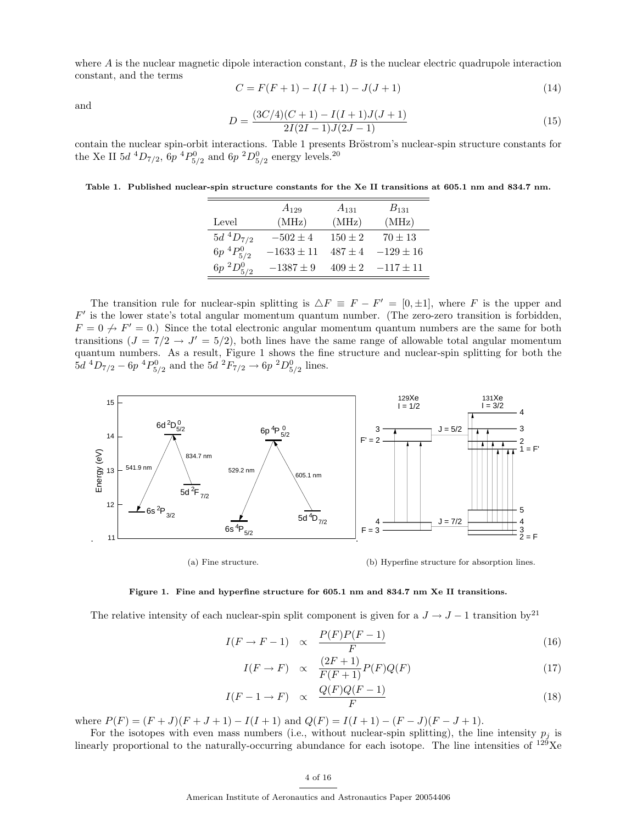where  $A$  is the nuclear magnetic dipole interaction constant,  $B$  is the nuclear electric quadrupole interaction constant, and the terms

$$
C = F(F + 1) - I(I + 1) - J(J + 1)
$$
\n(14)

and

$$
D = \frac{(3C/4)(C+1) - I(I+1)J(J+1)}{2I(2I-1)J(2J-1)}
$$
\n(15)

contain the nuclear spin-orbit interactions. Table 1 presents Bröstrom's nuclear-spin structure constants for the Xe II  $5d \, {}^4D_{7/2}$ ,  $6p \, {}^4P_{5/2}^0$  and  $6p \, {}^2D_{5/2}^0$  energy levels.<sup>20</sup>

Table 1. Published nuclear-spin structure constants for the Xe II transitions at 605.1 nm and 834.7 nm.

|                  | $A_{129}$      | $A_{131}$   | $B_{131}$     |
|------------------|----------------|-------------|---------------|
| Level            | (MHz)          | (MHz)       | (MHz)         |
| $5d~^4D_{7/2}$   | $-502 \pm 4$   | $150 \pm 2$ | $70 \pm 13$   |
| $6p~^4P^0_{5/2}$ | $-1633 \pm 11$ | $487 + 4$   | $-129 \pm 16$ |
| $6p~^2D_{5/2}^0$ | $-1387 \pm 9$  | $409 \pm 2$ | $-117 \pm 11$ |

The transition rule for nuclear-spin splitting is  $\Delta F \equiv F - F' = [0, \pm 1]$ , where F is the upper and  $F'$  is the lower state's total angular momentum quantum number. (The zero-zero transition is forbidden,  $F = 0 \nrightarrow F' = 0$ .) Since the total electronic angular momentum quantum numbers are the same for both transitions  $(J = 7/2 \rightarrow J' = 5/2)$ , both lines have the same range of allowable total angular momentum quantum numbers. As a result, Figure 1 shows the fine structure and nuclear-spin splitting for both the  $5d \ ^4D_{7/2} - 6p \ ^4P_{5/2}^0$  and the  $5d \ ^2F_{7/2} \rightarrow 6p \ ^2D_{5/2}^0$  lines.



(a) Fine structure.

(b) Hyperfine structure for absorption lines.

#### Figure 1. Fine and hyperfine structure for 605.1 nm and 834.7 nm Xe II transitions.

The relative intensity of each nuclear-spin split component is given for a  $J \to J - 1$  transition by<sup>21</sup>

$$
I(F \to F - 1) \propto \frac{P(F)P(F - 1)}{F}
$$
\n(16)

$$
I(F \to F) \quad \propto \quad \frac{(2F+1)}{F(F+1)} P(F) Q(F) \tag{17}
$$

$$
I(F-1 \to F) \propto \frac{Q(F)Q(F-1)}{F}
$$
\n(18)

where  $P(F) = (F + J)(F + J + 1) - I(I + 1)$  and  $Q(F) = I(I + 1) - (F - J)(F - J + 1)$ .

For the isotopes with even mass numbers (i.e., without nuclear-spin splitting), the line intensity  $p_i$  is linearly proportional to the naturally-occurring abundance for each isotope. The line intensities of  $129$ Xe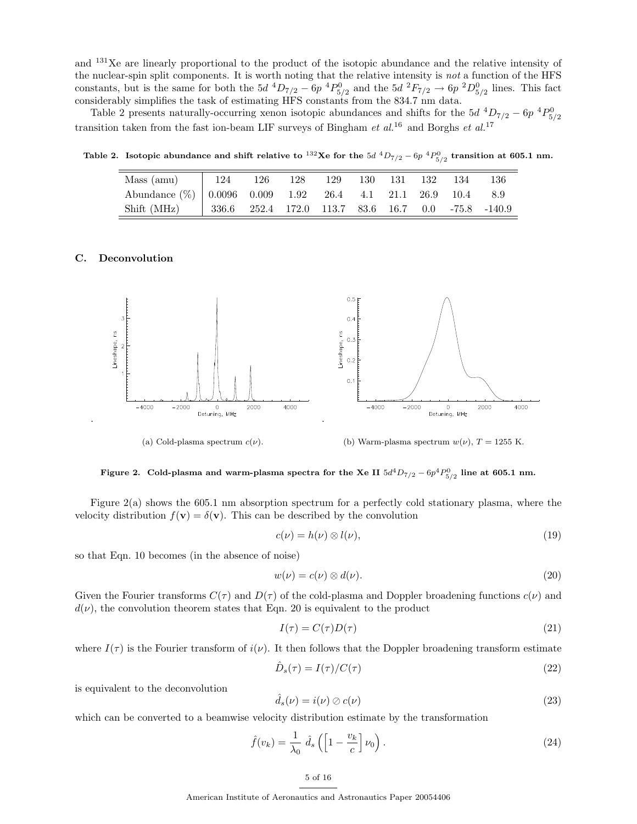and <sup>131</sup>Xe are linearly proportional to the product of the isotopic abundance and the relative intensity of the nuclear-spin split components. It is worth noting that the relative intensity is not a function of the HFS constants, but is the same for both the  $5d^4D_{7/2} - 6p^4P_{5/2}^0$  and the  $5d^2F_{7/2} \rightarrow 6p^2D_{5/2}^0$  lines. This fact considerably simplifies the task of estimating HFS constants from the 834.7 nm data.

Table 2 presents naturally-occurring xenon isotopic abundances and shifts for the  $5d^{4}D_{7/2} - 6p^{4}P_{5/2}^{0}$ transition taken from the fast ion-beam LIF surveys of Bingham et  $al^{16}$  and Borghs et  $al^{17}$ 

Table 2. Isotopic abundance and shift relative to  $^{132}\text{Xe}$  for the  $5d$   $^4D_{7/2}$  –  $6p$   $^4P_{5/2}^0$  transition at 605.1 nm.

| Mass (amu) $124$ 126                                             |  | 128 |  | 129 130 131 132 134 |  | -136 |
|------------------------------------------------------------------|--|-----|--|---------------------|--|------|
| Abundance $(\%)$   0.0096 0.009 1.92 26.4 4.1 21.1 26.9 10.4 8.9 |  |     |  |                     |  |      |
| Shift (MHz)   336.6 252.4 172.0 113.7 83.6 16.7 0.0 -75.8 -140.9 |  |     |  |                     |  |      |

# C. Deconvolution

.



(a) Cold-plasma spectrum  $c(\nu)$ .

(b) Warm-plasma spectrum  $w(\nu)$ ,  $T = 1255$  K.

Figure 2. Cold-plasma and warm-plasma spectra for the Xe II  $5d^4D_{7/2}$  –  $6p^4P^0_{5/2}$  line at 605.1 nm.

Figure 2(a) shows the 605.1 nm absorption spectrum for a perfectly cold stationary plasma, where the velocity distribution  $f(\mathbf{v}) = \delta(\mathbf{v})$ . This can be described by the convolution

$$
c(\nu) = h(\nu) \otimes l(\nu),\tag{19}
$$

so that Eqn. 10 becomes (in the absence of noise)

$$
w(\nu) = c(\nu) \otimes d(\nu). \tag{20}
$$

Given the Fourier transforms  $C(\tau)$  and  $D(\tau)$  of the cold-plasma and Doppler broadening functions  $c(\nu)$  and  $d(\nu)$ , the convolution theorem states that Eqn. 20 is equivalent to the product

$$
I(\tau) = C(\tau)D(\tau) \tag{21}
$$

where  $I(\tau)$  is the Fourier transform of  $i(\nu)$ . It then follows that the Doppler broadening transform estimate

$$
\hat{D}_s(\tau) = I(\tau) / C(\tau) \tag{22}
$$

is equivalent to the deconvolution

$$
\hat{d}_s(\nu) = i(\nu) \oslash c(\nu) \tag{23}
$$

which can be converted to a beamwise velocity distribution estimate by the transformation

$$
\hat{f}(v_k) = \frac{1}{\lambda_0} \hat{d}_s \left( \left[ 1 - \frac{v_k}{c} \right] \nu_0 \right). \tag{24}
$$

American Institute of Aeronautics and Astronautics Paper 20054406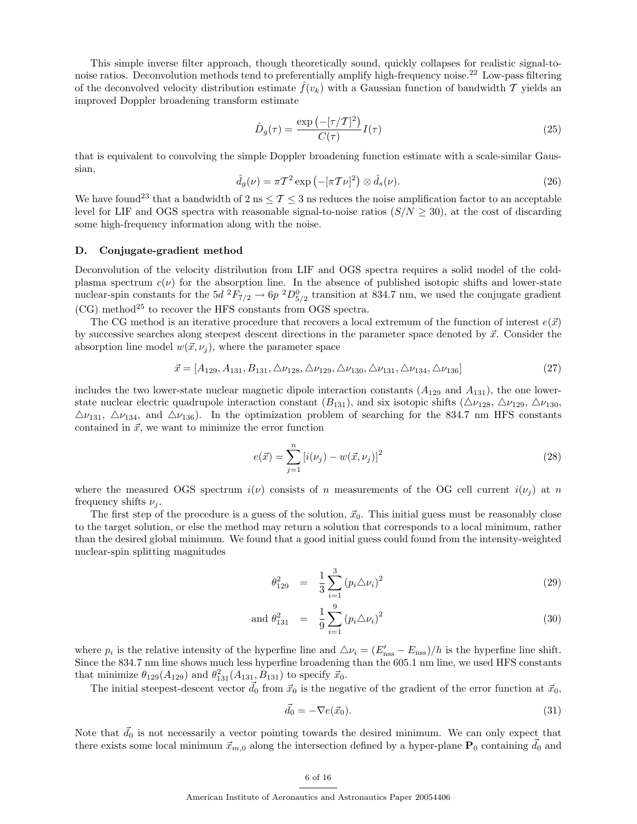This simple inverse filter approach, though theoretically sound, quickly collapses for realistic signal-tonoise ratios. Deconvolution methods tend to preferentially amplify high-frequency noise.<sup>22</sup> Low-pass filtering of the deconvolved velocity distribution estimate  $f(v_k)$  with a Gaussian function of bandwidth T yields an improved Doppler broadening transform estimate

$$
\hat{D}_g(\tau) = \frac{\exp\left(-[\tau/T]^2\right)}{C(\tau)}I(\tau) \tag{25}
$$

that is equivalent to convolving the simple Doppler broadening function estimate with a scale-similar Gaussian,

$$
\hat{d}_g(\nu) = \pi T^2 \exp\left(-[\pi T \nu]^2\right) \otimes \hat{d}_s(\nu). \tag{26}
$$

We have found<sup>23</sup> that a bandwidth of 2 ns  $\leq$  T  $\leq$  3 ns reduces the noise amplification factor to an acceptable level for LIF and OGS spectra with reasonable signal-to-noise ratios  $(S/N \ge 30)$ , at the cost of discarding some high-frequency information along with the noise.

#### D. Conjugate-gradient method

Deconvolution of the velocity distribution from LIF and OGS spectra requires a solid model of the coldplasma spectrum  $c(\nu)$  for the absorption line. In the absence of published isotopic shifts and lower-state nuclear-spin constants for the  $5d^2F_{7/2} \rightarrow 6p^2D^0_{5/2}$  transition at 834.7 nm, we used the conjugate gradient  $(CG)$  method<sup>25</sup> to recover the HFS constants from OGS spectra.

The CG method is an iterative procedure that recovers a local extremum of the function of interest  $e(\vec{x})$ by successive searches along steepest descent directions in the parameter space denoted by  $\vec{x}$ . Consider the absorption line model  $w(\vec{x}, \nu_i)$ , where the parameter space

$$
\vec{x} = [A_{129}, A_{131}, B_{131}, \triangle \nu_{128}, \triangle \nu_{129}, \triangle \nu_{130}, \triangle \nu_{131}, \triangle \nu_{134}, \triangle \nu_{136}] \tag{27}
$$

includes the two lower-state nuclear magnetic dipole interaction constants  $(A_{129}$  and  $A_{131})$ , the one lowerstate nuclear electric quadrupole interaction constant  $(B_{131})$ , and six isotopic shifts  $(\Delta\nu_{128}, \Delta\nu_{129}, \Delta\nu_{130},$  $\Delta\nu_{131}$ ,  $\Delta\nu_{134}$ , and  $\Delta\nu_{136}$ ). In the optimization problem of searching for the 834.7 nm HFS constants contained in  $\vec{x}$ , we want to minimize the error function

$$
e(\vec{x}) = \sum_{j=1}^{n} \left[ i(\nu_j) - w(\vec{x}, \nu_j) \right]^2
$$
 (28)

where the measured OGS spectrum  $i(\nu)$  consists of n measurements of the OG cell current  $i(\nu_j)$  at n frequency shifts  $\nu_i$ .

The first step of the procedure is a guess of the solution,  $\vec{x}_0$ . This initial guess must be reasonably close to the target solution, or else the method may return a solution that corresponds to a local minimum, rather than the desired global minimum. We found that a good initial guess could found from the intensity-weighted nuclear-spin splitting magnitudes

$$
\theta_{129}^2 = \frac{1}{3} \sum_{i=1}^3 (p_i \triangle \nu_i)^2 \tag{29}
$$

and 
$$
\theta_{131}^2 = \frac{1}{9} \sum_{i=1}^{9} (p_i \triangle \nu_i)^2
$$
 (30)

where  $p_i$  is the relative intensity of the hyperfine line and  $\Delta \nu_i = (E'_{\rm nss} - E_{\rm nss})/h$  is the hyperfine line shift. Since the 834.7 nm line shows much less hyperfine broadening than the 605.1 nm line, we used HFS constants that minimize  $\theta_{129}(A_{129})$  and  $\theta_{131}^2(A_{131}, B_{131})$  to specify  $\vec{x}_0$ .

The initial steepest-descent vector  $\vec{d}_0$  from  $\vec{x}_0$  is the negative of the gradient of the error function at  $\vec{x}_0$ ,

$$
\vec{d}_0 = -\nabla e(\vec{x}_0). \tag{31}
$$

Note that  $\vec{d}_0$  is not necessarily a vector pointing towards the desired minimum. We can only expect that there exists some local minimum  $\vec{x}_{m,0}$  along the intersection defined by a hyper-plane  $P_0$  containing  $\vec{d}_0$  and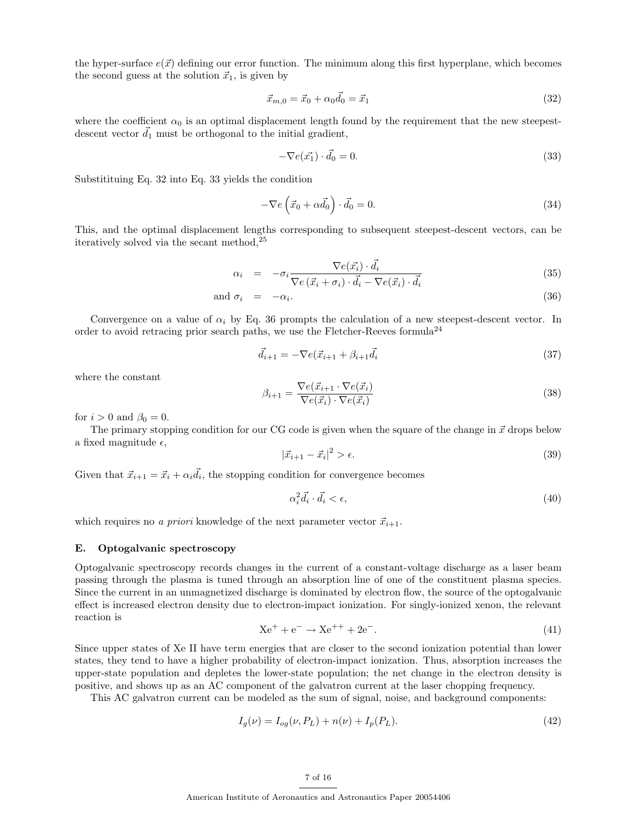the hyper-surface  $e(\vec{x})$  defining our error function. The minimum along this first hyperplane, which becomes the second guess at the solution  $\vec{x}_1$ , is given by

$$
\vec{x}_{m,0} = \vec{x}_0 + \alpha_0 \vec{d}_0 = \vec{x}_1 \tag{32}
$$

where the coefficient  $\alpha_0$  is an optimal displacement length found by the requirement that the new steepestdescent vector  $d_1$  must be orthogonal to the initial gradient,

$$
-\nabla e(\vec{x_1}) \cdot \vec{d_0} = 0. \tag{33}
$$

Substitituing Eq. 32 into Eq. 33 yields the condition

$$
-\nabla e\left(\vec{x}_0 + \alpha \vec{d}_0\right) \cdot \vec{d}_0 = 0. \tag{34}
$$

This, and the optimal displacement lengths corresponding to subsequent steepest-descent vectors, can be iteratively solved via the secant method,<sup>25</sup>

$$
\alpha_i = -\sigma_i \frac{\nabla e(\vec{x_i}) \cdot \vec{d_i}}{\nabla e(\vec{x_i} + \sigma_i) \cdot \vec{d_i} - \nabla e(\vec{x_i}) \cdot \vec{d_i}}
$$
\n(35)

and 
$$
\sigma_i = -\alpha_i
$$
. (36)

Convergence on a value of  $\alpha_i$  by Eq. 36 prompts the calculation of a new steepest-descent vector. In order to avoid retracing prior search paths, we use the Fletcher-Reeves formula<sup>24</sup>

$$
\vec{d}_{i+1} = -\nabla e(\vec{x}_{i+1} + \beta_{i+1}\vec{d}_i)
$$
\n(37)

where the constant

$$
\beta_{i+1} = \frac{\nabla e(\vec{x}_{i+1} \cdot \nabla e(\vec{x}_i))}{\nabla e(\vec{x}_i) \cdot \nabla e(\vec{x}_i)}
$$
(38)

for  $i > 0$  and  $\beta_0 = 0$ .

The primary stopping condition for our CG code is given when the square of the change in  $\vec{x}$  drops below a fixed magnitude  $\epsilon$ ,

$$
|\vec{x}_{i+1} - \vec{x}_i|^2 > \epsilon. \tag{39}
$$

Given that  $\vec{x}_{i+1} = \vec{x}_i + \alpha_i \vec{d}_i$ , the stopping condition for convergence becomes

$$
\alpha_i^2 \vec{d}_i \cdot \vec{d}_i < \epsilon,\tag{40}
$$

which requires no a priori knowledge of the next parameter vector  $\vec{x}_{i+1}$ .

### E. Optogalvanic spectroscopy

Optogalvanic spectroscopy records changes in the current of a constant-voltage discharge as a laser beam passing through the plasma is tuned through an absorption line of one of the constituent plasma species. Since the current in an unmagnetized discharge is dominated by electron flow, the source of the optogalvanic effect is increased electron density due to electron-impact ionization. For singly-ionized xenon, the relevant reaction is

$$
Xe^{+} + e^{-} \rightarrow Xe^{++} + 2e^{-}.
$$
 (41)

Since upper states of Xe II have term energies that are closer to the second ionization potential than lower states, they tend to have a higher probability of electron-impact ionization. Thus, absorption increases the upper-state population and depletes the lower-state population; the net change in the electron density is positive, and shows up as an AC component of the galvatron current at the laser chopping frequency.

This AC galvatron current can be modeled as the sum of signal, noise, and background components:

$$
I_g(\nu) = I_{og}(\nu, P_L) + n(\nu) + I_p(P_L). \tag{42}
$$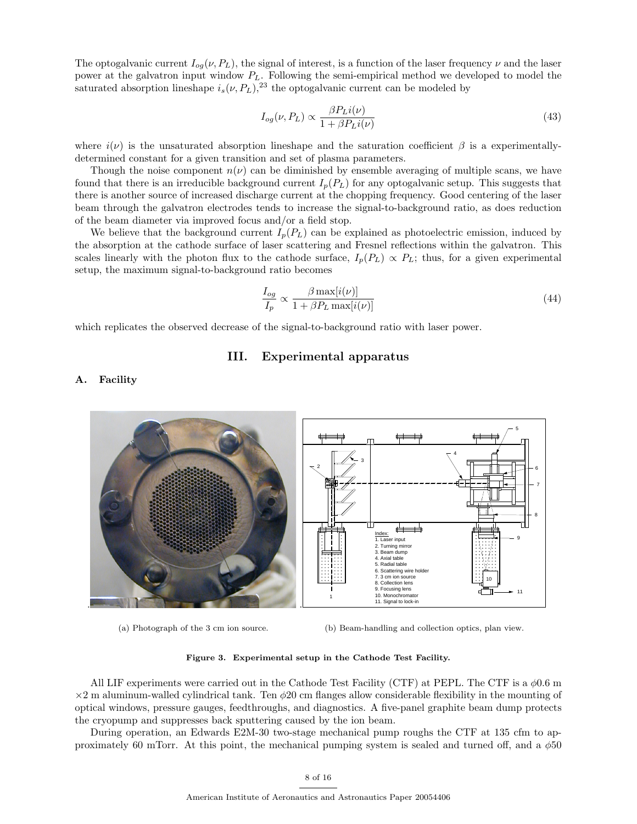The optogalvanic current  $I_{oq}(\nu, P_L)$ , the signal of interest, is a function of the laser frequency  $\nu$  and the laser power at the galvatron input window  $P_L$ . Following the semi-empirical method we developed to model the saturated absorption lineshape  $i_s(\nu, P_L)$ ,<sup>23</sup> the optogalvanic current can be modeled by

$$
I_{og}(\nu, P_L) \propto \frac{\beta P_L i(\nu)}{1 + \beta P_L i(\nu)}
$$
\n(43)

where  $i(\nu)$  is the unsaturated absorption lineshape and the saturation coefficient  $\beta$  is a experimentallydetermined constant for a given transition and set of plasma parameters.

Though the noise component  $n(\nu)$  can be diminished by ensemble averaging of multiple scans, we have found that there is an irreducible background current  $I_p(P_L)$  for any optogalvanic setup. This suggests that there is another source of increased discharge current at the chopping frequency. Good centering of the laser beam through the galvatron electrodes tends to increase the signal-to-background ratio, as does reduction of the beam diameter via improved focus and/or a field stop.

We believe that the background current  $I_p(P_L)$  can be explained as photoelectric emission, induced by the absorption at the cathode surface of laser scattering and Fresnel reflections within the galvatron. This scales linearly with the photon flux to the cathode surface,  $I_p(P_L) \propto P_L$ ; thus, for a given experimental setup, the maximum signal-to-background ratio becomes

$$
\frac{I_{og}}{I_p} \propto \frac{\beta \max[i(\nu)]}{1 + \beta P_L \max[i(\nu)]}
$$
\n(44)

which replicates the observed decrease of the signal-to-background ratio with laser power.

# III. Experimental apparatus

### A. Facility



(a) Photograph of the 3 cm ion source.

(b) Beam-handling and collection optics, plan view.

Figure 3. Experimental setup in the Cathode Test Facility.

All LIF experiments were carried out in the Cathode Test Facility (CTF) at PEPL. The CTF is a  $\phi$ 0.6 m  $\times$ 2 m aluminum-walled cylindrical tank. Ten  $\phi$ 20 cm flanges allow considerable flexibility in the mounting of optical windows, pressure gauges, feedthroughs, and diagnostics. A five-panel graphite beam dump protects the cryopump and suppresses back sputtering caused by the ion beam.

During operation, an Edwards E2M-30 two-stage mechanical pump roughs the CTF at 135 cfm to approximately 60 mTorr. At this point, the mechanical pumping system is sealed and turned off, and a  $\phi$ 50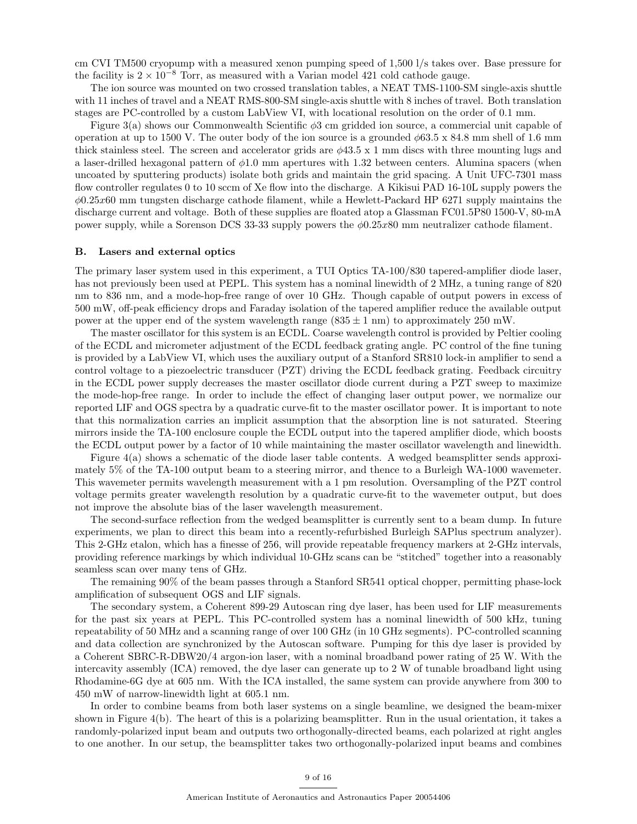cm CVI TM500 cryopump with a measured xenon pumping speed of 1,500 l/s takes over. Base pressure for the facility is  $2 \times 10^{-8}$  Torr, as measured with a Varian model 421 cold cathode gauge.

The ion source was mounted on two crossed translation tables, a NEAT TMS-1100-SM single-axis shuttle with 11 inches of travel and a NEAT RMS-800-SM single-axis shuttle with 8 inches of travel. Both translation stages are PC-controlled by a custom LabView VI, with locational resolution on the order of 0.1 mm.

Figure 3(a) shows our Commonwealth Scientific φ3 cm gridded ion source, a commercial unit capable of operation at up to 1500 V. The outer body of the ion source is a grounded  $\phi$ 63.5 x 84.8 mm shell of 1.6 mm thick stainless steel. The screen and accelerator grids are  $\phi$ 43.5 x 1 mm discs with three mounting lugs and a laser-drilled hexagonal pattern of  $\phi$ 1.0 mm apertures with 1.32 between centers. Alumina spacers (when uncoated by sputtering products) isolate both grids and maintain the grid spacing. A Unit UFC-7301 mass flow controller regulates 0 to 10 sccm of Xe flow into the discharge. A Kikisui PAD 16-10L supply powers the  $\phi$ 0.25x60 mm tungsten discharge cathode filament, while a Hewlett-Packard HP 6271 supply maintains the discharge current and voltage. Both of these supplies are floated atop a Glassman FC01.5P80 1500-V, 80-mA power supply, while a Sorenson DCS 33-33 supply powers the  $\phi$ 0.25x80 mm neutralizer cathode filament.

#### B. Lasers and external optics

The primary laser system used in this experiment, a TUI Optics TA-100/830 tapered-amplifier diode laser, has not previously been used at PEPL. This system has a nominal linewidth of 2 MHz, a tuning range of 820 nm to 836 nm, and a mode-hop-free range of over 10 GHz. Though capable of output powers in excess of 500 mW, off-peak efficiency drops and Faraday isolation of the tapered amplifier reduce the available output power at the upper end of the system wavelength range  $(835 \pm 1 \text{ nm})$  to approximately 250 mW.

The master oscillator for this system is an ECDL. Coarse wavelength control is provided by Peltier cooling of the ECDL and micrometer adjustment of the ECDL feedback grating angle. PC control of the fine tuning is provided by a LabView VI, which uses the auxiliary output of a Stanford SR810 lock-in amplifier to send a control voltage to a piezoelectric transducer (PZT) driving the ECDL feedback grating. Feedback circuitry in the ECDL power supply decreases the master oscillator diode current during a PZT sweep to maximize the mode-hop-free range. In order to include the effect of changing laser output power, we normalize our reported LIF and OGS spectra by a quadratic curve-fit to the master oscillator power. It is important to note that this normalization carries an implicit assumption that the absorption line is not saturated. Steering mirrors inside the TA-100 enclosure couple the ECDL output into the tapered amplifier diode, which boosts the ECDL output power by a factor of 10 while maintaining the master oscillator wavelength and linewidth.

Figure 4(a) shows a schematic of the diode laser table contents. A wedged beamsplitter sends approximately 5% of the TA-100 output beam to a steering mirror, and thence to a Burleigh WA-1000 wavemeter. This wavemeter permits wavelength measurement with a 1 pm resolution. Oversampling of the PZT control voltage permits greater wavelength resolution by a quadratic curve-fit to the wavemeter output, but does not improve the absolute bias of the laser wavelength measurement.

The second-surface reflection from the wedged beamsplitter is currently sent to a beam dump. In future experiments, we plan to direct this beam into a recently-refurbished Burleigh SAPlus spectrum analyzer). This 2-GHz etalon, which has a finesse of 256, will provide repeatable frequency markers at 2-GHz intervals, providing reference markings by which individual 10-GHz scans can be "stitched" together into a reasonably seamless scan over many tens of GHz.

The remaining 90% of the beam passes through a Stanford SR541 optical chopper, permitting phase-lock amplification of subsequent OGS and LIF signals.

The secondary system, a Coherent 899-29 Autoscan ring dye laser, has been used for LIF measurements for the past six years at PEPL. This PC-controlled system has a nominal linewidth of 500 kHz, tuning repeatability of 50 MHz and a scanning range of over 100 GHz (in 10 GHz segments). PC-controlled scanning and data collection are synchronized by the Autoscan software. Pumping for this dye laser is provided by a Coherent SBRC-R-DBW20/4 argon-ion laser, with a nominal broadband power rating of 25 W. With the intercavity assembly (ICA) removed, the dye laser can generate up to 2 W of tunable broadband light using Rhodamine-6G dye at 605 nm. With the ICA installed, the same system can provide anywhere from 300 to 450 mW of narrow-linewidth light at 605.1 nm.

In order to combine beams from both laser systems on a single beamline, we designed the beam-mixer shown in Figure 4(b). The heart of this is a polarizing beamsplitter. Run in the usual orientation, it takes a randomly-polarized input beam and outputs two orthogonally-directed beams, each polarized at right angles to one another. In our setup, the beamsplitter takes two orthogonally-polarized input beams and combines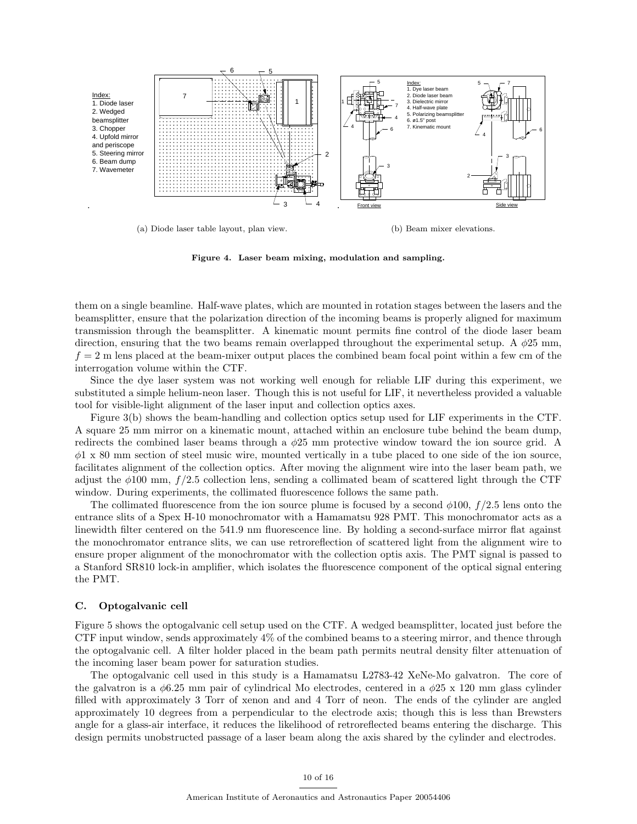

Figure 4. Laser beam mixing, modulation and sampling.

them on a single beamline. Half-wave plates, which are mounted in rotation stages between the lasers and the beamsplitter, ensure that the polarization direction of the incoming beams is properly aligned for maximum transmission through the beamsplitter. A kinematic mount permits fine control of the diode laser beam direction, ensuring that the two beams remain overlapped throughout the experimental setup. A  $\phi$ 25 mm,  $f = 2$  m lens placed at the beam-mixer output places the combined beam focal point within a few cm of the interrogation volume within the CTF.

Since the dye laser system was not working well enough for reliable LIF during this experiment, we substituted a simple helium-neon laser. Though this is not useful for LIF, it nevertheless provided a valuable tool for visible-light alignment of the laser input and collection optics axes.

Figure 3(b) shows the beam-handling and collection optics setup used for LIF experiments in the CTF. A square 25 mm mirror on a kinematic mount, attached within an enclosure tube behind the beam dump, redirects the combined laser beams through a  $\phi$ 25 mm protective window toward the ion source grid. A  $\phi$ 1 x 80 mm section of steel music wire, mounted vertically in a tube placed to one side of the ion source, facilitates alignment of the collection optics. After moving the alignment wire into the laser beam path, we adjust the  $\phi$ 100 mm,  $f/2.5$  collection lens, sending a collimated beam of scattered light through the CTF window. During experiments, the collimated fluorescence follows the same path.

The collimated fluorescence from the ion source plume is focused by a second  $\phi$ 100, f/2.5 lens onto the entrance slits of a Spex H-10 monochromator with a Hamamatsu 928 PMT. This monochromator acts as a linewidth filter centered on the 541.9 nm fluorescence line. By holding a second-surface mirror flat against the monochromator entrance slits, we can use retroreflection of scattered light from the alignment wire to ensure proper alignment of the monochromator with the collection optis axis. The PMT signal is passed to a Stanford SR810 lock-in amplifier, which isolates the fluorescence component of the optical signal entering the PMT.

#### C. Optogalvanic cell

Figure 5 shows the optogalvanic cell setup used on the CTF. A wedged beamsplitter, located just before the CTF input window, sends approximately 4% of the combined beams to a steering mirror, and thence through the optogalvanic cell. A filter holder placed in the beam path permits neutral density filter attenuation of the incoming laser beam power for saturation studies.

The optogalvanic cell used in this study is a Hamamatsu L2783-42 XeNe-Mo galvatron. The core of the galvatron is a  $\phi$ 6.25 mm pair of cylindrical Mo electrodes, centered in a  $\phi$ 25 x 120 mm glass cylinder filled with approximately 3 Torr of xenon and and 4 Torr of neon. The ends of the cylinder are angled approximately 10 degrees from a perpendicular to the electrode axis; though this is less than Brewsters angle for a glass-air interface, it reduces the likelihood of retroreflected beams entering the discharge. This design permits unobstructed passage of a laser beam along the axis shared by the cylinder and electrodes.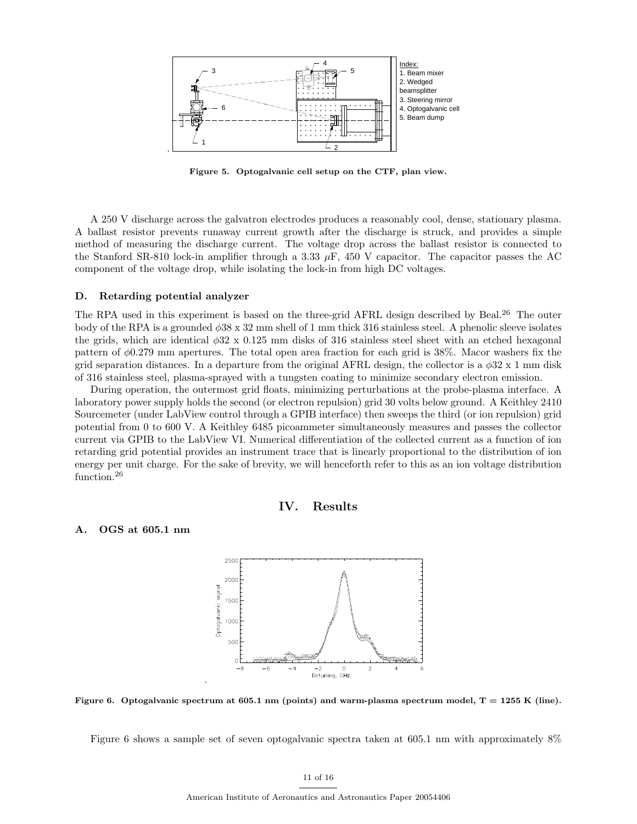

Figure 5. Optogalvanic cell setup on the CTF, plan view.

A 250 V discharge across the galvatron electrodes produces a reasonably cool, dense, stationary plasma. A ballast resistor prevents runaway current growth after the discharge is struck, and provides a simple method of measuring the discharge current. The voltage drop across the ballast resistor is connected to the Stanford SR-810 lock-in amplifier through a 3.33  $\mu$ F, 450 V capacitor. The capacitor passes the AC component of the voltage drop, while isolating the lock-in from high DC voltages.

#### D. Retarding potential analyzer

The RPA used in this experiment is based on the three-grid AFRL design described by Beal.<sup>26</sup> The outer body of the RPA is a grounded  $\phi$ 38 x 32 mm shell of 1 mm thick 316 stainless steel. A phenolic sleeve isolates the grids, which are identical  $\phi$ 32 x 0.125 mm disks of 316 stainless steel sheet with an etched hexagonal pattern of φ0.279 mm apertures. The total open area fraction for each grid is 38%. Macor washers fix the grid separation distances. In a departure from the original AFRL design, the collector is a  $\phi$ 32 x 1 mm disk of 316 stainless steel, plasma-sprayed with a tungsten coating to minimize secondary electron emission.

During operation, the outermost grid floats, minimizing perturbations at the probe-plasma interface. A laboratory power supply holds the second (or electron repulsion) grid 30 volts below ground. A Keithley 2410 Sourcemeter (under LabView control through a GPIB interface) then sweeps the third (or ion repulsion) grid potential from 0 to 600 V. A Keithley 6485 picoammeter simultaneously measures and passes the collector current via GPIB to the LabView VI. Numerical differentiation of the collected current as a function of ion retarding grid potential provides an instrument trace that is linearly proportional to the distribution of ion energy per unit charge. For the sake of brevity, we will henceforth refer to this as an ion voltage distribution function.<sup>26</sup>



#### A. OGS at 605.1 nm



Figure 6. Optogalvanic spectrum at 605.1 nm (points) and warm-plasma spectrum model,  $T = 1255$  K (line).

Figure 6 shows a sample set of seven optogalvanic spectra taken at 605.1 nm with approximately 8%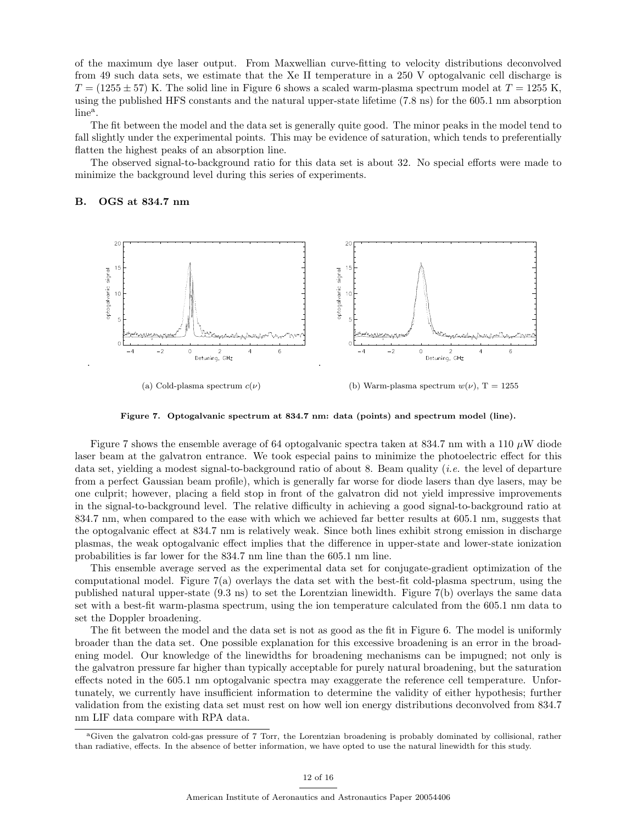of the maximum dye laser output. From Maxwellian curve-fitting to velocity distributions deconvolved from 49 such data sets, we estimate that the Xe II temperature in a 250 V optogalvanic cell discharge is  $T = (1255 \pm 57)$  K. The solid line in Figure 6 shows a scaled warm-plasma spectrum model at  $T = 1255$  K, using the published HFS constants and the natural upper-state lifetime (7.8 ns) for the 605.1 nm absorption  $line<sup>a</sup>$ .

The fit between the model and the data set is generally quite good. The minor peaks in the model tend to fall slightly under the experimental points. This may be evidence of saturation, which tends to preferentially flatten the highest peaks of an absorption line.

The observed signal-to-background ratio for this data set is about 32. No special efforts were made to minimize the background level during this series of experiments.

#### B. OGS at 834.7 nm



Figure 7. Optogalvanic spectrum at 834.7 nm: data (points) and spectrum model (line).

Figure 7 shows the ensemble average of 64 optogalvanic spectra taken at 834.7 nm with a 110  $\mu$ W diode laser beam at the galvatron entrance. We took especial pains to minimize the photoelectric effect for this data set, yielding a modest signal-to-background ratio of about 8. Beam quality *(i.e.* the level of departure from a perfect Gaussian beam profile), which is generally far worse for diode lasers than dye lasers, may be one culprit; however, placing a field stop in front of the galvatron did not yield impressive improvements in the signal-to-background level. The relative difficulty in achieving a good signal-to-background ratio at 834.7 nm, when compared to the ease with which we achieved far better results at 605.1 nm, suggests that the optogalvanic effect at 834.7 nm is relatively weak. Since both lines exhibit strong emission in discharge plasmas, the weak optogalvanic effect implies that the difference in upper-state and lower-state ionization probabilities is far lower for the 834.7 nm line than the 605.1 nm line.

This ensemble average served as the experimental data set for conjugate-gradient optimization of the computational model. Figure 7(a) overlays the data set with the best-fit cold-plasma spectrum, using the published natural upper-state (9.3 ns) to set the Lorentzian linewidth. Figure 7(b) overlays the same data set with a best-fit warm-plasma spectrum, using the ion temperature calculated from the 605.1 nm data to set the Doppler broadening.

The fit between the model and the data set is not as good as the fit in Figure 6. The model is uniformly broader than the data set. One possible explanation for this excessive broadening is an error in the broadening model. Our knowledge of the linewidths for broadening mechanisms can be impugned; not only is the galvatron pressure far higher than typically acceptable for purely natural broadening, but the saturation effects noted in the 605.1 nm optogalvanic spectra may exaggerate the reference cell temperature. Unfortunately, we currently have insufficient information to determine the validity of either hypothesis; further validation from the existing data set must rest on how well ion energy distributions deconvolved from 834.7 nm LIF data compare with RPA data.

<sup>a</sup>Given the galvatron cold-gas pressure of 7 Torr, the Lorentzian broadening is probably dominated by collisional, rather than radiative, effects. In the absence of better information, we have opted to use the natural linewidth for this study.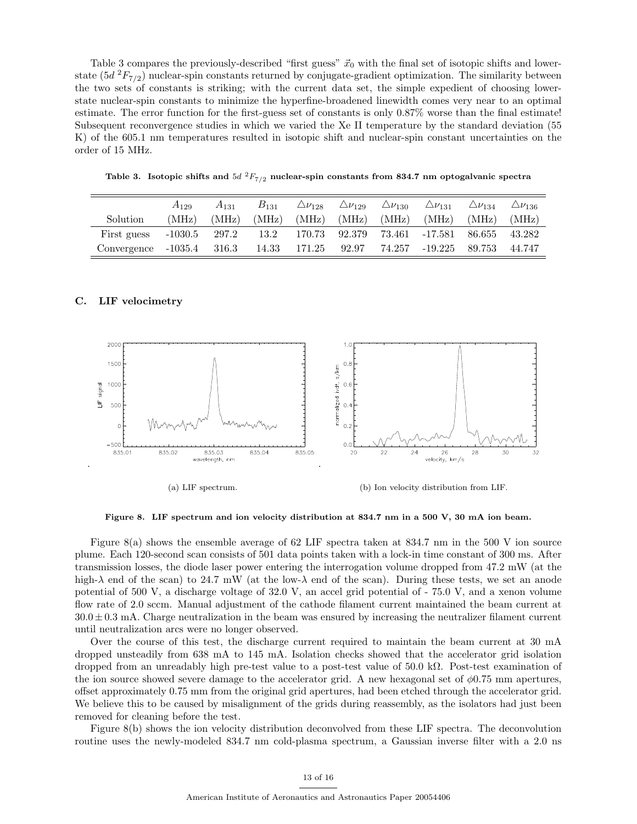Table 3 compares the previously-described "first guess"  $\vec{x}_0$  with the final set of isotopic shifts and lowerstate  $(5d^2F_{7/2})$  nuclear-spin constants returned by conjugate-gradient optimization. The similarity between the two sets of constants is striking; with the current data set, the simple expedient of choosing lowerstate nuclear-spin constants to minimize the hyperfine-broadened linewidth comes very near to an optimal estimate. The error function for the first-guess set of constants is only 0.87% worse than the final estimate! Subsequent reconvergence studies in which we varied the Xe II temperature by the standard deviation (55 K) of the 605.1 nm temperatures resulted in isotopic shift and nuclear-spin constant uncertainties on the order of 15 MHz.

Table 3. Isotopic shifts and  $5d$   $^{2}F_{7/2}$  nuclear-spin constants from 834.7 nm optogalvanic spectra

|                                        | $A_{129}$       | $A_{131}$ | $B_{131}$ |                    | $\Delta\nu_{128}$ $\Delta\nu_{129}$ $\Delta\nu_{130}$ | $\triangle \nu_{131}$ $\triangle \nu_{134}$ |       | $\triangle \nu_{136}$ |
|----------------------------------------|-----------------|-----------|-----------|--------------------|-------------------------------------------------------|---------------------------------------------|-------|-----------------------|
| Solution                               | (MHz)           | (MHz)     |           |                    |                                                       | $(MHz)$ $(MHz)$ $(MHz)$ $(MHz)$ $(MHz)$     | (MHz) | (MHz)                 |
| First guess                            | $-1030.5$ 297.2 |           |           | 13.2 170.73 92.379 |                                                       | 73.461 -17.581 86.655 43.282                |       |                       |
| Convergence -1035.4 316.3 14.33 171.25 |                 |           |           |                    |                                                       | $92.97$ $74.257$ $-19.225$ $89.753$         |       | 44.747                |

#### C. LIF velocimetry

.



(a) LIF spectrum.

(b) Ion velocity distribution from LIF.

Figure 8. LIF spectrum and ion velocity distribution at 834.7 nm in a 500 V, 30 mA ion beam.

Figure 8(a) shows the ensemble average of 62 LIF spectra taken at 834.7 nm in the 500 V ion source plume. Each 120-second scan consists of 501 data points taken with a lock-in time constant of 300 ms. After transmission losses, the diode laser power entering the interrogation volume dropped from 47.2 mW (at the high- $\lambda$  end of the scan) to 24.7 mW (at the low- $\lambda$  end of the scan). During these tests, we set an anode potential of 500 V, a discharge voltage of 32.0 V, an accel grid potential of - 75.0 V, and a xenon volume flow rate of 2.0 sccm. Manual adjustment of the cathode filament current maintained the beam current at  $30.0 \pm 0.3$  mA. Charge neutralization in the beam was ensured by increasing the neutralizer filament current until neutralization arcs were no longer observed.

Over the course of this test, the discharge current required to maintain the beam current at 30 mA dropped unsteadily from 638 mA to 145 mA. Isolation checks showed that the accelerator grid isolation dropped from an unreadably high pre-test value to a post-test value of 50.0 kΩ. Post-test examination of the ion source showed severe damage to the accelerator grid. A new hexagonal set of  $\phi$ 0.75 mm apertures, offset approximately 0.75 mm from the original grid apertures, had been etched through the accelerator grid. We believe this to be caused by misalignment of the grids during reassembly, as the isolators had just been removed for cleaning before the test.

Figure 8(b) shows the ion velocity distribution deconvolved from these LIF spectra. The deconvolution routine uses the newly-modeled 834.7 nm cold-plasma spectrum, a Gaussian inverse filter with a 2.0 ns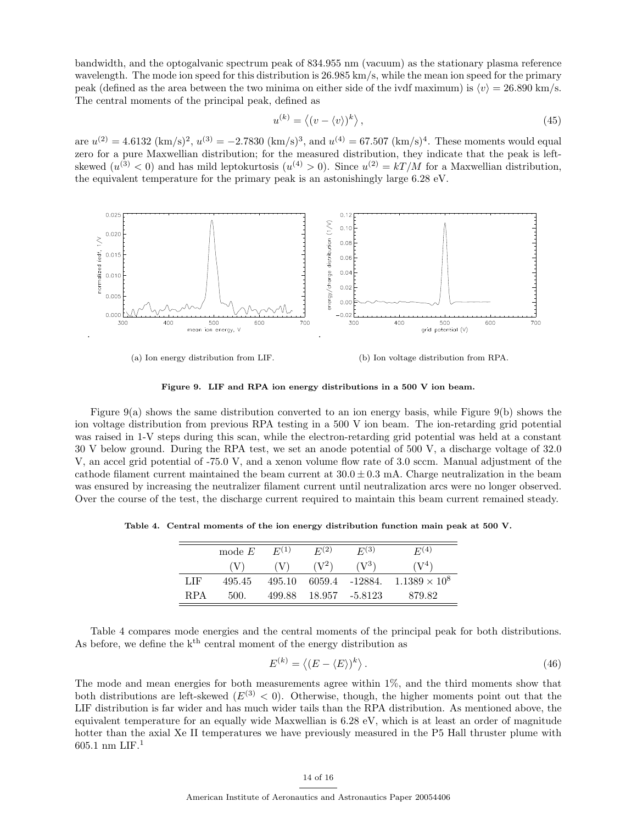bandwidth, and the optogalvanic spectrum peak of 834.955 nm (vacuum) as the stationary plasma reference wavelength. The mode ion speed for this distribution is 26.985 km/s, while the mean ion speed for the primary peak (defined as the area between the two minima on either side of the ivdf maximum) is  $\langle v \rangle = 26.890$  km/s. The central moments of the principal peak, defined as

$$
u^{(k)} = \langle (v - \langle v \rangle)^k \rangle, \tag{45}
$$

are  $u^{(2)} = 4.6132 \text{ (km/s)}^2$ ,  $u^{(3)} = -2.7830 \text{ (km/s)}^3$ , and  $u^{(4)} = 67.507 \text{ (km/s)}^4$ . These moments would equal zero for a pure Maxwellian distribution; for the measured distribution, they indicate that the peak is leftskewed  $(u^{(3)} < 0)$  and has mild leptokurtosis  $(u^{(4)} > 0)$ . Since  $u^{(2)} = kT/M$  for a Maxwellian distribution, the equivalent temperature for the primary peak is an astonishingly large 6.28 eV.



(a) Ion energy distribution from LIF. (b) Ion voltage distribution from RPA.

Figure 9. LIF and RPA ion energy distributions in a 500 V ion beam.

Figure 9(a) shows the same distribution converted to an ion energy basis, while Figure 9(b) shows the ion voltage distribution from previous RPA testing in a 500 V ion beam. The ion-retarding grid potential was raised in 1-V steps during this scan, while the electron-retarding grid potential was held at a constant 30 V below ground. During the RPA test, we set an anode potential of 500 V, a discharge voltage of 32.0 V, an accel grid potential of -75.0 V, and a xenon volume flow rate of 3.0 sccm. Manual adjustment of the cathode filament current maintained the beam current at  $30.0 \pm 0.3$  mA. Charge neutralization in the beam was ensured by increasing the neutralizer filament current until neutralization arcs were no longer observed. Over the course of the test, the discharge current required to maintain this beam current remained steady.

Table 4. Central moments of the ion energy distribution function main peak at 500 V.

|            | mode $E$ | $E^{(1)}$ | E(2)   | $E^{(3)}$ | E <sup>(4)</sup>     |
|------------|----------|-----------|--------|-----------|----------------------|
|            | (V       | (V        |        | $(V^3)$   | $(V^4)$              |
| LIF        | 495.45   | 495.10    | 6059.4 | -12884.   | $1.1389 \times 10^8$ |
| <b>RPA</b> | 500.     | 499.88    | 18.957 | -5.8123   | 879.82               |

Table 4 compares mode energies and the central moments of the principal peak for both distributions. As before, we define the  $k<sup>th</sup>$  central moment of the energy distribution as

$$
E^{(k)} = \langle (E - \langle E \rangle)^k \rangle. \tag{46}
$$

The mode and mean energies for both measurements agree within 1%, and the third moments show that both distributions are left-skewed  $(E^{(3)} < 0)$ . Otherwise, though, the higher moments point out that the LIF distribution is far wider and has much wider tails than the RPA distribution. As mentioned above, the equivalent temperature for an equally wide Maxwellian is 6.28 eV, which is at least an order of magnitude hotter than the axial Xe II temperatures we have previously measured in the P5 Hall thruster plume with  $605.1 \text{ nm} \text{ LIF.}^1$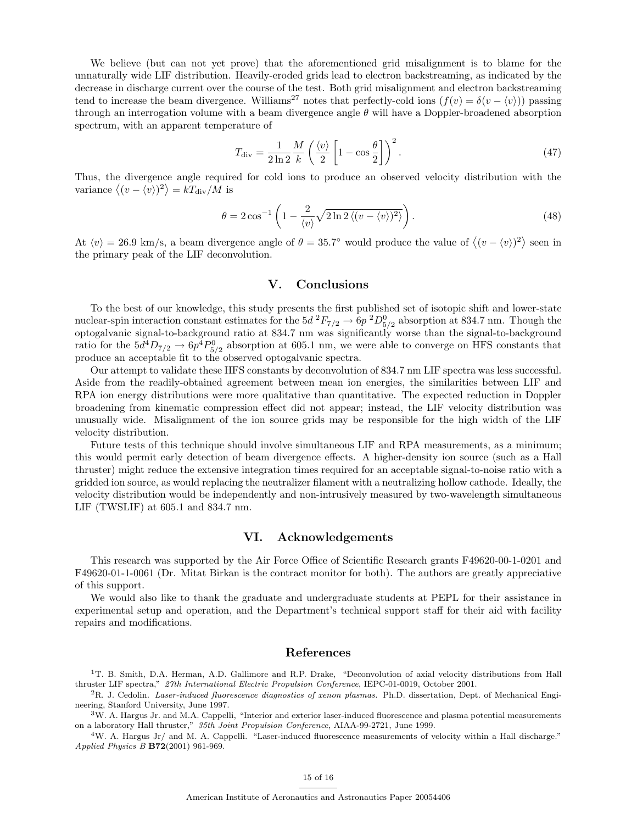We believe (but can not yet prove) that the aforementioned grid misalignment is to blame for the unnaturally wide LIF distribution. Heavily-eroded grids lead to electron backstreaming, as indicated by the decrease in discharge current over the course of the test. Both grid misalignment and electron backstreaming tend to increase the beam divergence. Williams<sup>27</sup> notes that perfectly-cold ions  $(f(v) = \delta(v - \langle v \rangle))$  passing through an interrogation volume with a beam divergence angle  $\theta$  will have a Doppler-broadened absorption spectrum, with an apparent temperature of

$$
T_{\rm div} = \frac{1}{2\ln 2} \frac{M}{k} \left( \frac{\langle v \rangle}{2} \left[ 1 - \cos \frac{\theta}{2} \right] \right)^2.
$$
 (47)

Thus, the divergence angle required for cold ions to produce an observed velocity distribution with the variance  $\langle (v - \langle v \rangle)^2 \rangle = kT_{\text{div}}/M$  is

$$
\theta = 2\cos^{-1}\left(1 - \frac{2}{\langle v \rangle}\sqrt{2\ln 2\left\langle(v - \langle v \rangle)^2\right\rangle}\right). \tag{48}
$$

At  $\langle v \rangle = 26.9$  km/s, a beam divergence angle of  $\theta = 35.7^{\circ}$  would produce the value of  $\langle (v - \langle v \rangle)^2 \rangle$  seen in the primary peak of the LIF deconvolution.

### V. Conclusions

To the best of our knowledge, this study presents the first published set of isotopic shift and lower-state nuclear-spin interaction constant estimates for the  $5d^2F_{7/2} \rightarrow 6p^2D^0_{5/2}$  absorption at 834.7 nm. Though the optogalvanic signal-to-background ratio at 834.7 nm was significantly worse than the signal-to-background ratio for the  $5d^4D_{7/2} \rightarrow 6p^4P_{5/2}^0$  absorption at 605.1 nm, we were able to converge on HFS constants that produce an acceptable fit to the observed optogalvanic spectra.

Our attempt to validate these HFS constants by deconvolution of 834.7 nm LIF spectra was less successful. Aside from the readily-obtained agreement between mean ion energies, the similarities between LIF and RPA ion energy distributions were more qualitative than quantitative. The expected reduction in Doppler broadening from kinematic compression effect did not appear; instead, the LIF velocity distribution was unusually wide. Misalignment of the ion source grids may be responsible for the high width of the LIF velocity distribution.

Future tests of this technique should involve simultaneous LIF and RPA measurements, as a minimum; this would permit early detection of beam divergence effects. A higher-density ion source (such as a Hall thruster) might reduce the extensive integration times required for an acceptable signal-to-noise ratio with a gridded ion source, as would replacing the neutralizer filament with a neutralizing hollow cathode. Ideally, the velocity distribution would be independently and non-intrusively measured by two-wavelength simultaneous LIF (TWSLIF) at 605.1 and 834.7 nm.

# VI. Acknowledgements

This research was supported by the Air Force Office of Scientific Research grants F49620-00-1-0201 and F49620-01-1-0061 (Dr. Mitat Birkan is the contract monitor for both). The authors are greatly appreciative of this support.

We would also like to thank the graduate and undergraduate students at PEPL for their assistance in experimental setup and operation, and the Department's technical support staff for their aid with facility repairs and modifications.

### References

<sup>1</sup>T. B. Smith, D.A. Herman, A.D. Gallimore and R.P. Drake, "Deconvolution of axial velocity distributions from Hall thruster LIF spectra," 27th International Electric Propulsion Conference, IEPC-01-0019, October 2001.

 ${}^{2}R$ . J. Cedolin. Laser-induced fluorescence diagnostics of xenon plasmas. Ph.D. dissertation, Dept. of Mechanical Engineering, Stanford University, June 1997.

 $3W$ . A. Hargus Jr. and M.A. Cappelli, "Interior and exterior laser-induced fluorescence and plasma potential measurements on a laboratory Hall thruster," 35th Joint Propulsion Conference, AIAA-99-2721, June 1999.

 $4W$ . A. Hargus Jr/ and M. A. Cappelli. "Laser-induced fluorescence measurements of velocity within a Hall discharge." Applied Physics B B72(2001) 961-969.